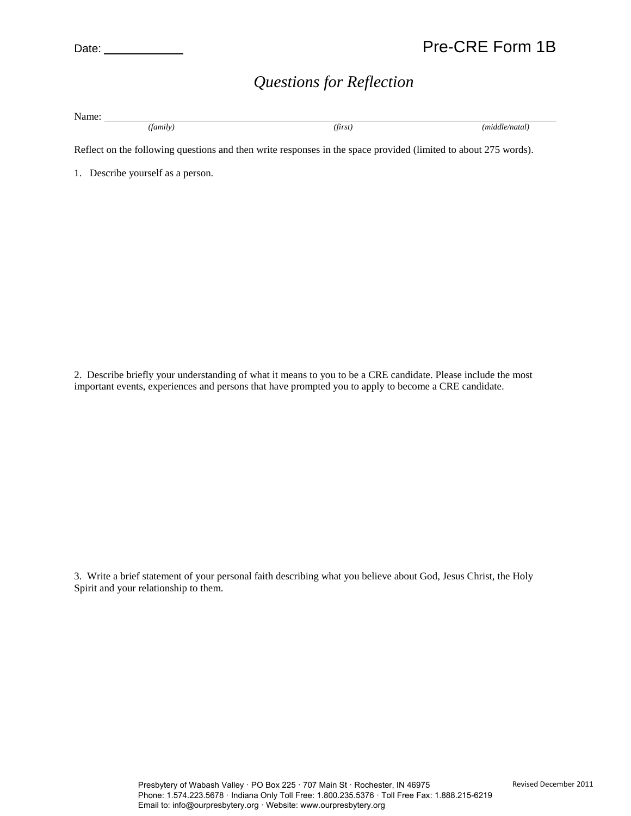## *Questions for Reflection*

Name: *(family) (first) (middle/natal)*

Reflect on the following questions and then write responses in the space provided (limited to about 275 words).

1. Describe yourself as a person.

2. Describe briefly your understanding of what it means to you to be a CRE candidate. Please include the most important events, experiences and persons that have prompted you to apply to become a CRE candidate.

3. Write a brief statement of your personal faith describing what you believe about God, Jesus Christ, the Holy Spirit and your relationship to them.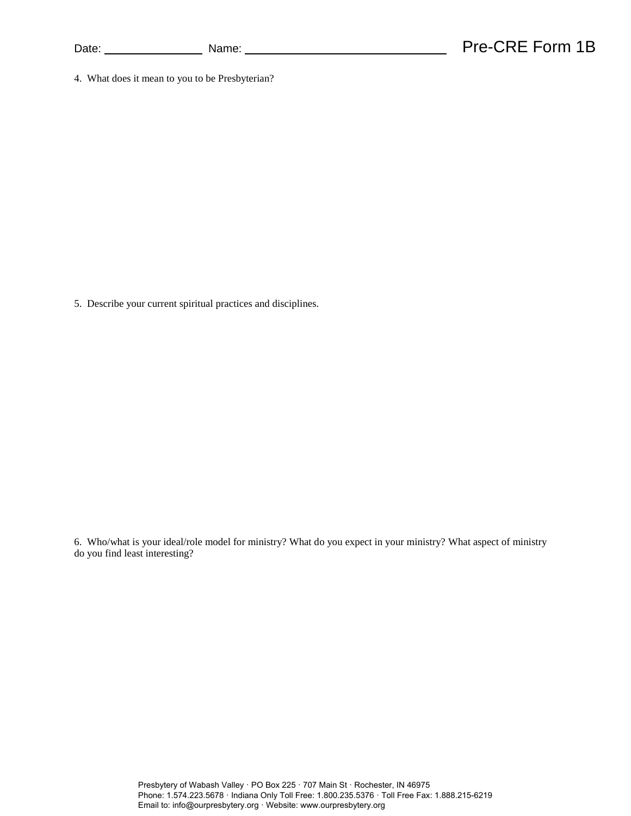4. What does it mean to you to be Presbyterian?

5. Describe your current spiritual practices and disciplines.

6. Who/what is your ideal/role model for ministry? What do you expect in your ministry? What aspect of ministry do you find least interesting?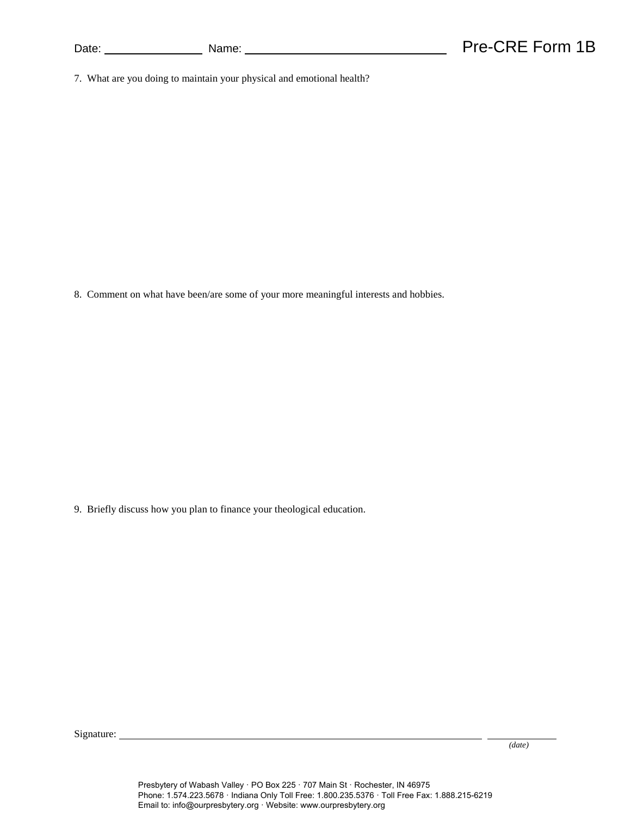| Date: |  |
|-------|--|
|       |  |

7. What are you doing to maintain your physical and emotional health?

8. Comment on what have been/are some of your more meaningful interests and hobbies.

9. Briefly discuss how you plan to finance your theological education.

Signature:

*(date)*